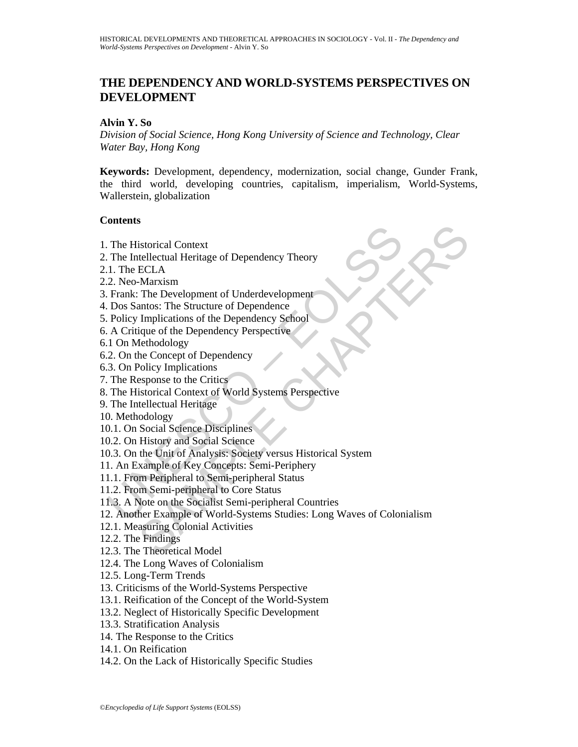# **THE DEPENDENCY AND WORLD-SYSTEMS PERSPECTIVES ON DEVELOPMENT**

## **Alvin Y. So**

*Division of Social Science, Hong Kong University of Science and Technology, Clear Water Bay, Hong Kong* 

**Keywords:** Development, dependency, modernization, social change, Gunder Frank, the third world, developing countries, capitalism, imperialism, World-Systems, Wallerstein, globalization

## **Contents**

- 1. The Historical Context
- 2. The Intellectual Heritage of Dependency Theory
- 2.1. The ECLA
- 2.2. Neo-Marxism
- 3. Frank: The Development of Underdevelopment
- 4. Dos Santos: The Structure of Dependence
- 5. Policy Implications of the Dependency School
- 6. A Critique of the Dependency Perspective
- 6.1 On Methodology
- 6.2. On the Concept of Dependency
- 6.3. On Policy Implications
- 7. The Response to the Critics
- 8. The Historical Context of World Systems Perspective
- 9. The Intellectual Heritage
- 10. Methodology
- 10.1. On Social Science Disciplines
- 10.2. On History and Social Science
- 10.3. On the Unit of Analysis: Society versus Historical System
- 11. An Example of Key Concepts: Semi-Periphery
- 11.1. From Peripheral to Semi-peripheral Status
- 11.2. From Semi-peripheral to Core Status
- 11.3. A Note on the Socialist Semi-peripheral Countries
- The Historical Context<br>
The Intellectual Heritage of Dependency Theory<br>
1. The ECLA<br>
1. The ECLA<br>
2. Neo-Marxism<br>
Frank: The Development of Underdevelopment<br>
Dos Santos: The Structure of Dependence<br>
A Critique of the Depen Fisionical Context<br>
itellectual Heritage of Dependency Theory<br>
ECLA<br>
Marxism<br>
ECLA<br>
Marxism<br>
ITE Development of Underdevelopment<br>
Implications<br>
Implications of the Dependency Sehool<br>
Itenbodology<br>
the Concept of Dependency 12. Another Example of World-Systems Studies: Long Waves of Colonialism
- 12.1. Measuring Colonial Activities
- 12.2. The Findings
- 12.3. The Theoretical Model
- 12.4. The Long Waves of Colonialism
- 12.5. Long-Term Trends
- 13. Criticisms of the World-Systems Perspective
- 13.1. Reification of the Concept of the World-System
- 13.2. Neglect of Historically Specific Development
- 13.3. Stratification Analysis
- 14. The Response to the Critics
- 14.1. On Reification
- 14.2. On the Lack of Historically Specific Studies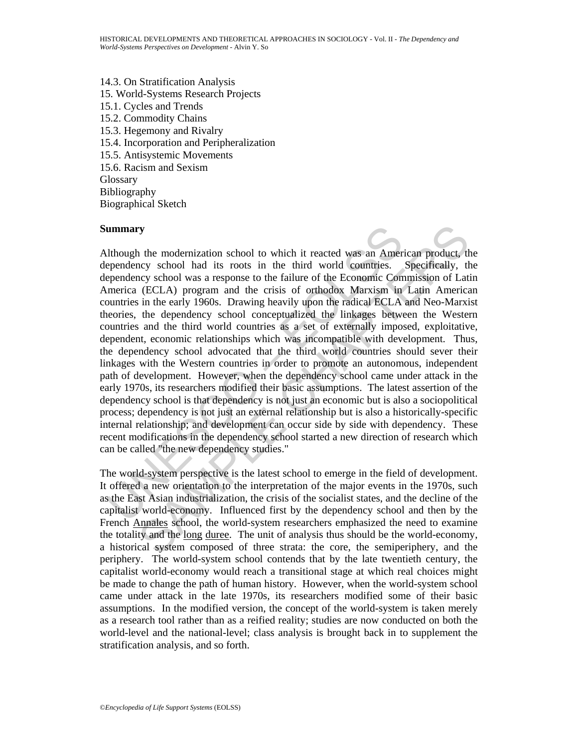14.3. On Stratification Analysis 15. World-Systems Research Projects 15.1. Cycles and Trends 15.2. Commodity Chains 15.3. Hegemony and Rivalry 15.4. Incorporation and Peripheralization 15.5. Antisystemic Movements 15.6. Racism and Sexism Glossary Bibliography Biographical Sketch

#### **Summary**

**ummary**<br> **Uniongly** the modernization school to which it reacted was an Amer<br>
pependency school had its roots in the third world countries.<br>
ependency school was a response to the failure of the Economic Con<br>
merica (ECLA The modernization school to which it reacted was an American product, they school had its roots in the third world countries. Specifically, they school was a response to the failure of the Economic Commission of Latio (EC Although the modernization school to which it reacted was an American product, the dependency school had its roots in the third world countries. Specifically, the dependency school was a response to the failure of the Economic Commission of Latin America (ECLA) program and the crisis of orthodox Marxism in Latin American countries in the early 1960s. Drawing heavily upon the radical ECLA and Neo-Marxist theories, the dependency school conceptualized the linkages between the Western countries and the third world countries as a set of externally imposed, exploitative, dependent, economic relationships which was incompatible with development. Thus, the dependency school advocated that the third world countries should sever their linkages with the Western countries in order to promote an autonomous, independent path of development. However, when the dependency school came under attack in the early 1970s, its researchers modified their basic assumptions. The latest assertion of the dependency school is that dependency is not just an economic but is also a sociopolitical process; dependency is not just an external relationship but is also a historically-specific internal relationship; and development can occur side by side with dependency. These recent modifications in the dependency school started a new direction of research which can be called "the new dependency studies."

The world-system perspective is the latest school to emerge in the field of development. It offered a new orientation to the interpretation of the major events in the 1970s, such as the East Asian industrialization, the crisis of the socialist states, and the decline of the capitalist world-economy. Influenced first by the dependency school and then by the French Annales school, the world-system researchers emphasized the need to examine the totality and the long duree. The unit of analysis thus should be the world-economy, a historical system composed of three strata: the core, the semiperiphery, and the periphery. The world-system school contends that by the late twentieth century, the capitalist world-economy would reach a transitional stage at which real choices might be made to change the path of human history. However, when the world-system school came under attack in the late 1970s, its researchers modified some of their basic assumptions. In the modified version, the concept of the world-system is taken merely as a research tool rather than as a reified reality; studies are now conducted on both the world-level and the national-level; class analysis is brought back in to supplement the stratification analysis, and so forth.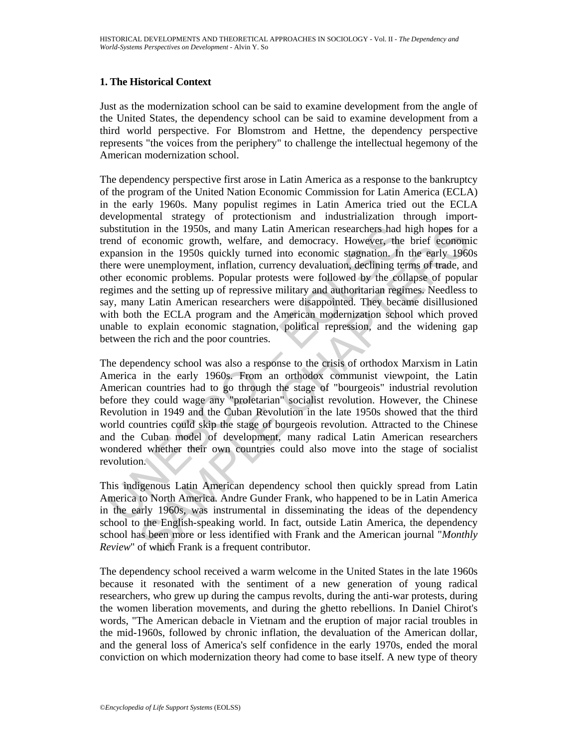## **1. The Historical Context**

Just as the modernization school can be said to examine development from the angle of the United States, the dependency school can be said to examine development from a third world perspective. For Blomstrom and Hettne, the dependency perspective represents "the voices from the periphery" to challenge the intellectual hegemony of the American modernization school.

bustitution in the 1950s, and many Latin American researchers had<br>end of economic growth, welfare, and democracy. However, the<br>papasion in the 1950s quickly turned into economic stagnation. In<br>enere were unemployment, infl ion in the 1950s, and many Latin American researchers had high hopes for economic growth, welfare, and democracy. However, the brief economic and the early 1960 enconomic growth, welfare, and democracy. However, the brief The dependency perspective first arose in Latin America as a response to the bankruptcy of the program of the United Nation Economic Commission for Latin America (ECLA) in the early 1960s. Many populist regimes in Latin America tried out the ECLA developmental strategy of protectionism and industrialization through importsubstitution in the 1950s, and many Latin American researchers had high hopes for a trend of economic growth, welfare, and democracy. However, the brief economic expansion in the 1950s quickly turned into economic stagnation. In the early 1960s there were unemployment, inflation, currency devaluation, declining terms of trade, and other economic problems. Popular protests were followed by the collapse of popular regimes and the setting up of repressive military and authoritarian regimes. Needless to say, many Latin American researchers were disappointed. They became disillusioned with both the ECLA program and the American modernization school which proved unable to explain economic stagnation, political repression, and the widening gap between the rich and the poor countries.

The dependency school was also a response to the crisis of orthodox Marxism in Latin America in the early 1960s. From an orthodox communist viewpoint, the Latin American countries had to go through the stage of "bourgeois" industrial revolution before they could wage any "proletarian" socialist revolution. However, the Chinese Revolution in 1949 and the Cuban Revolution in the late 1950s showed that the third world countries could skip the stage of bourgeois revolution. Attracted to the Chinese and the Cuban model of development, many radical Latin American researchers wondered whether their own countries could also move into the stage of socialist revolution.

This indigenous Latin American dependency school then quickly spread from Latin America to North America. Andre Gunder Frank, who happened to be in Latin America in the early 1960s, was instrumental in disseminating the ideas of the dependency school to the English-speaking world. In fact, outside Latin America, the dependency school has been more or less identified with Frank and the American journal "*Monthly Review*" of which Frank is a frequent contributor.

The dependency school received a warm welcome in the United States in the late 1960s because it resonated with the sentiment of a new generation of young radical researchers, who grew up during the campus revolts, during the anti-war protests, during the women liberation movements, and during the ghetto rebellions. In Daniel Chirot's words, "The American debacle in Vietnam and the eruption of major racial troubles in the mid-1960s, followed by chronic inflation, the devaluation of the American dollar, and the general loss of America's self confidence in the early 1970s, ended the moral conviction on which modernization theory had come to base itself. A new type of theory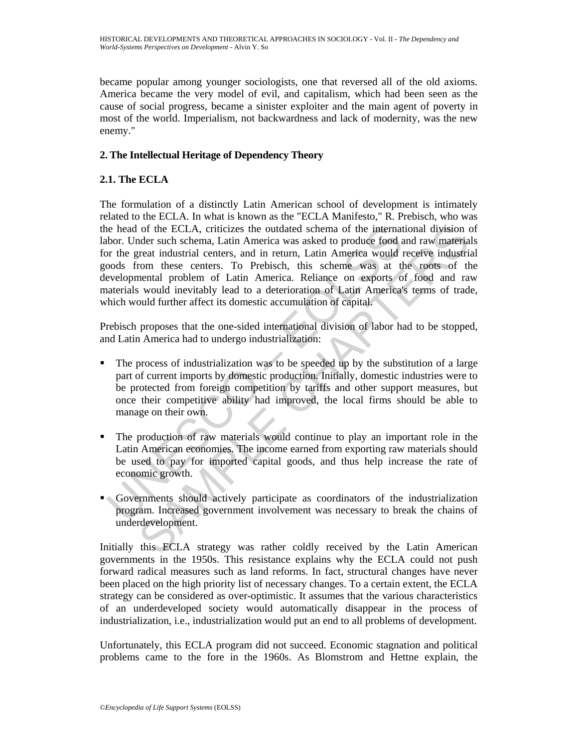became popular among younger sociologists, one that reversed all of the old axioms. America became the very model of evil, and capitalism, which had been seen as the cause of social progress, became a sinister exploiter and the main agent of poverty in most of the world. Imperialism, not backwardness and lack of modernity, was the new enemy."

## **2. The Intellectual Heritage of Dependency Theory**

## **2.1. The ECLA**

is the mean of the ECLA, criticizes the outdated schema of the internat<br>the chord. Under such schema, Latin America was asked to produce food a<br>por the great industrial centers, and in return, Latin America would<br>roods fro of the ECLA, criticizes the outdated schema of the international division corder such schema, Latin America was asked to produce food and raw material centers, and in return, Latin America would receive industriation these The formulation of a distinctly Latin American school of development is intimately related to the ECLA. In what is known as the "ECLA Manifesto," R. Prebisch, who was the head of the ECLA, criticizes the outdated schema of the international division of labor. Under such schema, Latin America was asked to produce food and raw materials for the great industrial centers, and in return, Latin America would receive industrial goods from these centers. To Prebisch, this scheme was at the roots of the developmental problem of Latin America. Reliance on exports of food and raw materials would inevitably lead to a deterioration of Latin America's terms of trade, which would further affect its domestic accumulation of capital.

Prebisch proposes that the one-sided international division of labor had to be stopped, and Latin America had to undergo industrialization:

- The process of industrialization was to be speeded up by the substitution of a large part of current imports by domestic production. Initially, domestic industries were to be protected from foreign competition by tariffs and other support measures, but once their competitive ability had improved, the local firms should be able to manage on their own.
- The production of raw materials would continue to play an important role in the Latin American economies. The income earned from exporting raw materials should be used to pay for imported capital goods, and thus help increase the rate of economic growth.
- Governments should actively participate as coordinators of the industrialization program. Increased government involvement was necessary to break the chains of underdevelopment.

Initially this ECLA strategy was rather coldly received by the Latin American governments in the 1950s. This resistance explains why the ECLA could not push forward radical measures such as land reforms. In fact, structural changes have never been placed on the high priority list of necessary changes. To a certain extent, the ECLA strategy can be considered as over-optimistic. It assumes that the various characteristics of an underdeveloped society would automatically disappear in the process of industrialization, i.e., industrialization would put an end to all problems of development.

Unfortunately, this ECLA program did not succeed. Economic stagnation and political problems came to the fore in the 1960s. As Blomstrom and Hettne explain, the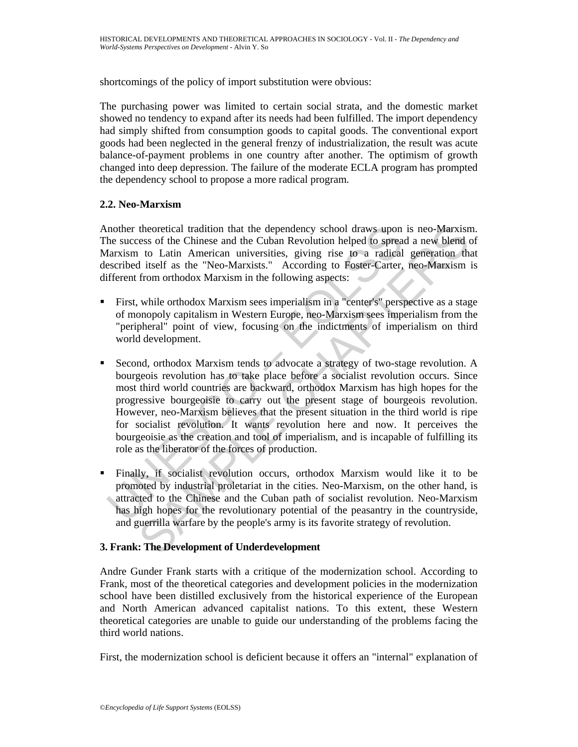shortcomings of the policy of import substitution were obvious:

The purchasing power was limited to certain social strata, and the domestic market showed no tendency to expand after its needs had been fulfilled. The import dependency had simply shifted from consumption goods to capital goods. The conventional export goods had been neglected in the general frenzy of industrialization, the result was acute balance-of-payment problems in one country after another. The optimism of growth changed into deep depression. The failure of the moderate ECLA program has prompted the dependency school to propose a more radical program.

## **2.2. Neo-Marxism**

Another theoretical tradition that the dependency school draws upon is neo-Marxism. The success of the Chinese and the Cuban Revolution helped to spread a new blend of Marxism to Latin American universities, giving rise to a radical generation that described itself as the "Neo-Marxists." According to Foster-Carter, neo-Marxism is different from orthodox Marxism in the following aspects:

- First, while orthodox Marxism sees imperialism in a "center's" perspective as a stage of monopoly capitalism in Western Europe, neo-Marxism sees imperialism from the "peripheral" point of view, focusing on the indictments of imperialism on third world development.
- nother theoretical tradition that the dependency school draws upon<br>he success of the Chinese and the Cuban Revolution helped to spread<br>araxism to Latin American universities, giving rise to a radical<br>sescribed itself as th theoretical tradition that the dependency school draws upon is neo-Marxisn<br>coses of the Chinese and the Cuban Revolution helped to spread a new blend<br>to Latin American universities, giving rise to a radical generation that Second, orthodox Marxism tends to advocate a strategy of two-stage revolution. A bourgeois revolution has to take place before a socialist revolution occurs. Since most third world countries are backward, orthodox Marxism has high hopes for the progressive bourgeoisie to carry out the present stage of bourgeois revolution. However, neo-Marxism believes that the present situation in the third world is ripe for socialist revolution. It wants revolution here and now. It perceives the bourgeoisie as the creation and tool of imperialism, and is incapable of fulfilling its role as the liberator of the forces of production.
- Finally, if socialist revolution occurs, orthodox Marxism would like it to be promoted by industrial proletariat in the cities. Neo-Marxism, on the other hand, is attracted to the Chinese and the Cuban path of socialist revolution. Neo-Marxism has high hopes for the revolutionary potential of the peasantry in the countryside, and guerrilla warfare by the people's army is its favorite strategy of revolution.

## **3. Frank: The Development of Underdevelopment**

Andre Gunder Frank starts with a critique of the modernization school. According to Frank, most of the theoretical categories and development policies in the modernization school have been distilled exclusively from the historical experience of the European and North American advanced capitalist nations. To this extent, these Western theoretical categories are unable to guide our understanding of the problems facing the third world nations.

First, the modernization school is deficient because it offers an "internal" explanation of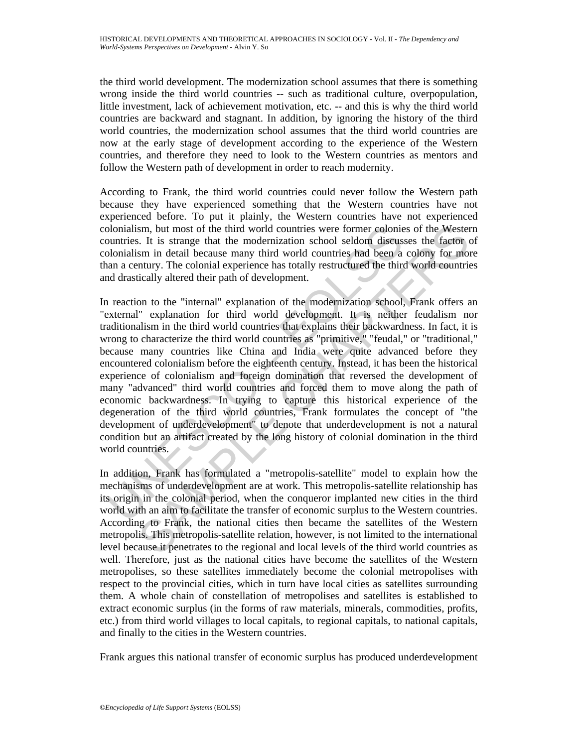the third world development. The modernization school assumes that there is something wrong inside the third world countries -- such as traditional culture, overpopulation, little investment, lack of achievement motivation, etc. -- and this is why the third world countries are backward and stagnant. In addition, by ignoring the history of the third world countries, the modernization school assumes that the third world countries are now at the early stage of development according to the experience of the Western countries, and therefore they need to look to the Western countries as mentors and follow the Western path of development in order to reach modernity.

According to Frank, the third world countries could never follow the Western path because they have experienced something that the Western countries have not experienced before. To put it plainly, the Western countries have not experienced colonialism, but most of the third world countries were former colonies of the Western countries. It is strange that the modernization school seldom discusses the factor of colonialism in detail because many third world countries had been a colony for more than a century. The colonial experience has totally restructured the third world countries and drastically altered their path of development.

blonialism, but most of the third world countries were former colonies<br>untries. It is strange that the modernization school seldom discuss<br>olonialism in detail because many third world countries had been a<br>nan a century. T sm, but most of the third world countries were former colonies of the Wester. It is strange that the modernization encodo sleedom diseasses the factor community. The colonial experience has totally restructured the third w In reaction to the "internal" explanation of the modernization school, Frank offers an "external" explanation for third world development. It is neither feudalism nor traditionalism in the third world countries that explains their backwardness. In fact, it is wrong to characterize the third world countries as "primitive," "feudal," or "traditional," because many countries like China and India were quite advanced before they encountered colonialism before the eighteenth century. Instead, it has been the historical experience of colonialism and foreign domination that reversed the development of many "advanced" third world countries and forced them to move along the path of economic backwardness. In trying to capture this historical experience of the degeneration of the third world countries, Frank formulates the concept of "the development of underdevelopment" to denote that underdevelopment is not a natural condition but an artifact created by the long history of colonial domination in the third world countries.

In addition, Frank has formulated a "metropolis-satellite" model to explain how the mechanisms of underdevelopment are at work. This metropolis-satellite relationship has its origin in the colonial period, when the conqueror implanted new cities in the third world with an aim to facilitate the transfer of economic surplus to the Western countries. According to Frank, the national cities then became the satellites of the Western metropolis. This metropolis-satellite relation, however, is not limited to the international level because it penetrates to the regional and local levels of the third world countries as well. Therefore, just as the national cities have become the satellites of the Western metropolises, so these satellites immediately become the colonial metropolises with respect to the provincial cities, which in turn have local cities as satellites surrounding them. A whole chain of constellation of metropolises and satellites is established to extract economic surplus (in the forms of raw materials, minerals, commodities, profits, etc.) from third world villages to local capitals, to regional capitals, to national capitals, and finally to the cities in the Western countries.

Frank argues this national transfer of economic surplus has produced underdevelopment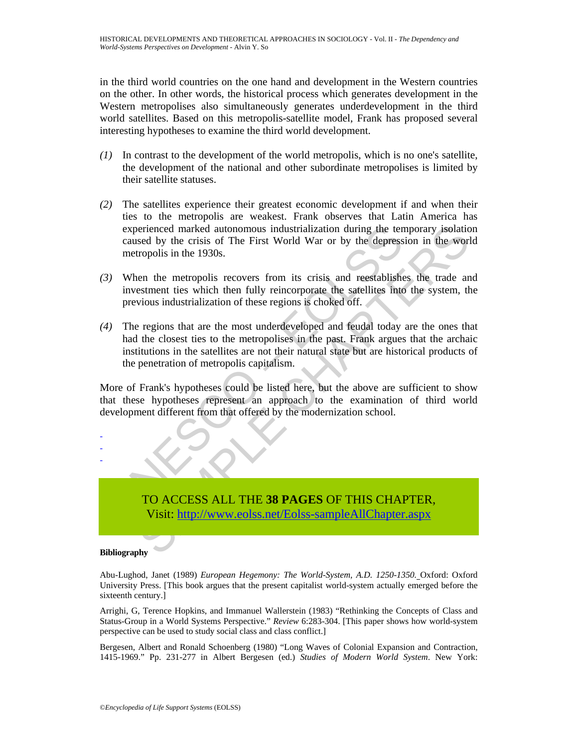in the third world countries on the one hand and development in the Western countries on the other. In other words, the historical process which generates development in the Western metropolises also simultaneously generates underdevelopment in the third world satellites. Based on this metropolis-satellite model, Frank has proposed several interesting hypotheses to examine the third world development.

- *(1)* In contrast to the development of the world metropolis, which is no one's satellite, the development of the national and other subordinate metropolises is limited by their satellite statuses.
- *(2)* The satellites experience their greatest economic development if and when their ties to the metropolis are weakest. Frank observes that Latin America has experienced marked autonomous industrialization during the temporary isolation caused by the crisis of The First World War or by the depression in the world metropolis in the 1930s.
- *(3)* When the metropolis recovers from its crisis and reestablishes the trade and investment ties which then fully reincorporate the satellites into the system, the previous industrialization of these regions is choked off.
- UNESCO EOLSS erienced marked autonomous industrialization during the temporary isolation<br>sed by the crisis of The First World War or by the depression in the world<br>porpolis in the 1930s.<br>The First World War or by the depression in the *(4)* The regions that are the most underdeveloped and feudal today are the ones that had the closest ties to the metropolises in the past. Frank argues that the archaic institutions in the satellites are not their natural state but are historical products of the penetration of metropolis capitalism.

More of Frank's hypotheses could be listed here, but the above are sufficient to show that these hypotheses represent an approach to the examination of third world development different from that offered by the modernization school.



#### **Bibliography**

‐ ‐ ‐

Abu-Lughod, Janet (1989) *European Hegemony: The World-System, A.D. 1250-1350.* Oxford: Oxford University Press. [This book argues that the present capitalist world-system actually emerged before the sixteenth century.]

Arrighi, G, Terence Hopkins, and Immanuel Wallerstein (1983) "Rethinking the Concepts of Class and Status-Group in a World Systems Perspective." *Review* 6:283-304. [This paper shows how world-system perspective can be used to study social class and class conflict.]

Bergesen, Albert and Ronald Schoenberg (1980) "Long Waves of Colonial Expansion and Contraction, 1415-1969." Pp. 231-277 in Albert Bergesen (ed.) *Studies of Modern World System*. New York: